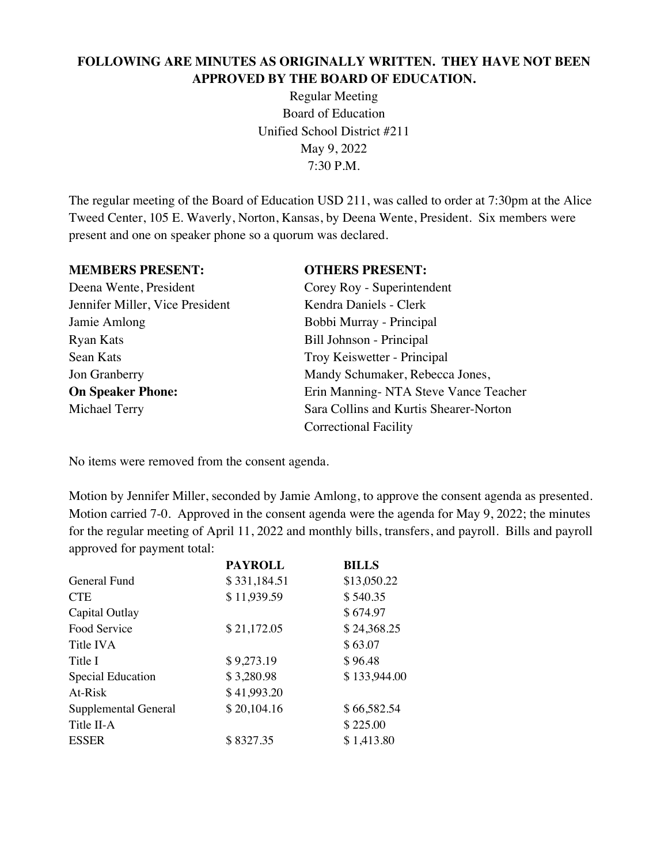# **FOLLOWING ARE MINUTES AS ORIGINALLY WRITTEN. THEY HAVE NOT BEEN APPROVED BY THE BOARD OF EDUCATION.**

Regular Meeting Board of Education Unified School District #211 May 9, 2022 7:30 P.M.

The regular meeting of the Board of Education USD 211, was called to order at 7:30pm at the Alice Tweed Center, 105 E. Waverly, Norton, Kansas, by Deena Wente, President. Six members were present and one on speaker phone so a quorum was declared.

## **MEMBERS PRESENT: OTHERS PRESENT:**

Jennifer Miller, Vice President Kendra Daniels - Clerk Jamie Amlong Bobbi Murray - Principal Ryan Kats Bill Johnson - Principal Sean Kats Troy Keiswetter - Principal

Deena Wente, President Corey Roy - Superintendent Jon Granberry Mandy Schumaker, Rebecca Jones, **On Speaker Phone:** Erin Manning- NTA Steve Vance Teacher Michael Terry Sara Collins and Kurtis Shearer-Norton Correctional Facility

No items were removed from the consent agenda.

Motion by Jennifer Miller, seconded by Jamie Amlong, to approve the consent agenda as presented. Motion carried 7-0. Approved in the consent agenda were the agenda for May 9, 2022; the minutes for the regular meeting of April 11, 2022 and monthly bills, transfers, and payroll. Bills and payroll approved for payment total:

| <b>PAYROLL</b> | <b>BILLS</b> |
|----------------|--------------|
| \$331,184.51   | \$13,050.22  |
| \$11,939.59    | \$540.35     |
|                | \$674.97     |
| \$21,172.05    | \$24,368.25  |
|                | \$63.07      |
| \$9,273.19     | \$96.48      |
| \$3,280.98     | \$133,944.00 |
| \$41,993.20    |              |
| \$20,104.16    | \$66,582.54  |
|                | \$225.00     |
| \$8327.35      | \$1,413.80   |
|                |              |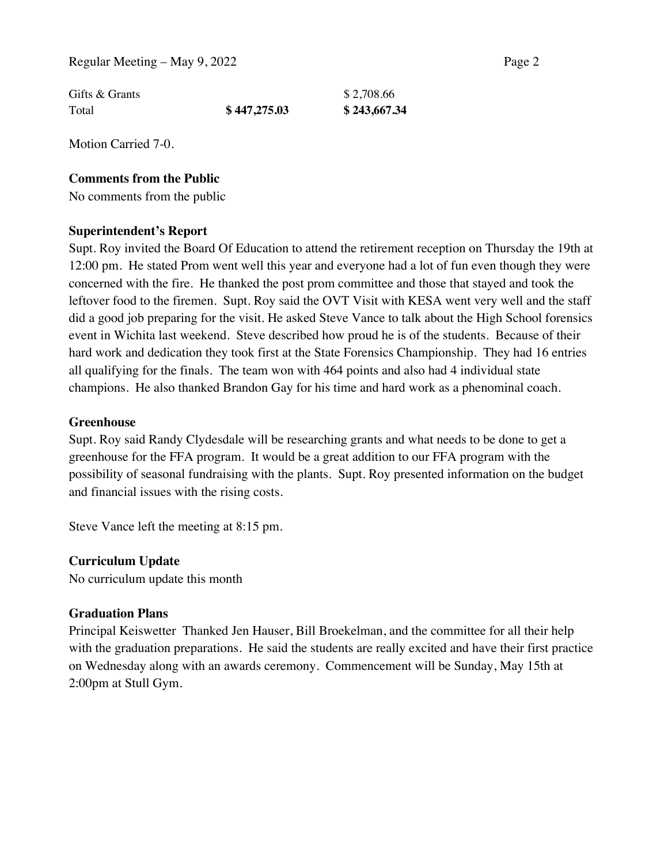| Gifts & Grants |              | \$2,708.66   |
|----------------|--------------|--------------|
| Total          | \$447,275.03 | \$243,667.34 |

Motion Carried 7-0.

#### **Comments from the Public**

No comments from the public

#### **Superintendent's Report**

Supt. Roy invited the Board Of Education to attend the retirement reception on Thursday the 19th at 12:00 pm. He stated Prom went well this year and everyone had a lot of fun even though they were concerned with the fire. He thanked the post prom committee and those that stayed and took the leftover food to the firemen. Supt. Roy said the OVT Visit with KESA went very well and the staff did a good job preparing for the visit. He asked Steve Vance to talk about the High School forensics event in Wichita last weekend. Steve described how proud he is of the students. Because of their hard work and dedication they took first at the State Forensics Championship. They had 16 entries all qualifying for the finals. The team won with 464 points and also had 4 individual state champions. He also thanked Brandon Gay for his time and hard work as a phenominal coach.

#### **Greenhouse**

Supt. Roy said Randy Clydesdale will be researching grants and what needs to be done to get a greenhouse for the FFA program. It would be a great addition to our FFA program with the possibility of seasonal fundraising with the plants. Supt. Roy presented information on the budget and financial issues with the rising costs.

Steve Vance left the meeting at 8:15 pm.

#### **Curriculum Update**

No curriculum update this month

#### **Graduation Plans**

Principal Keiswetter Thanked Jen Hauser, Bill Broekelman, and the committee for all their help with the graduation preparations. He said the students are really excited and have their first practice on Wednesday along with an awards ceremony. Commencement will be Sunday, May 15th at 2:00pm at Stull Gym.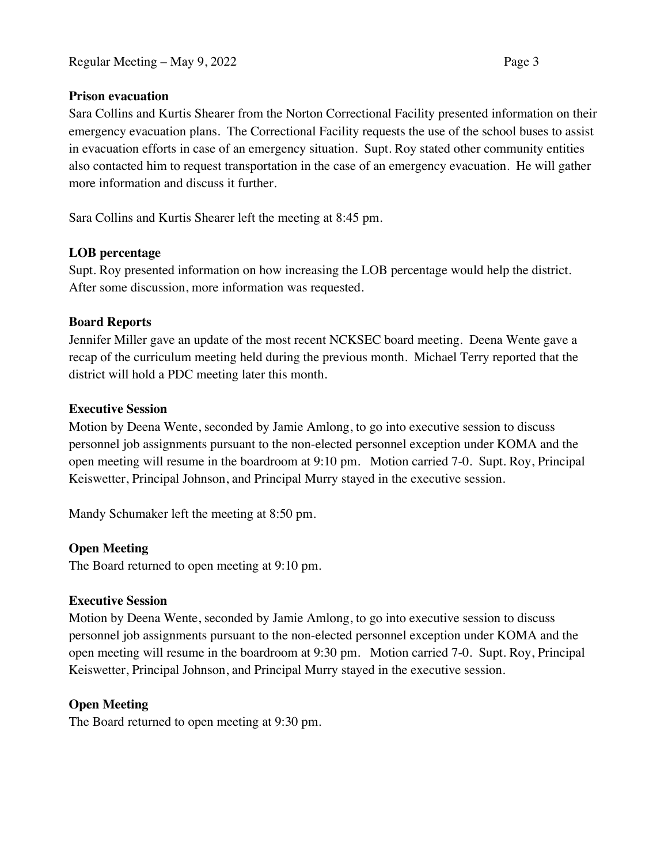## **Prison evacuation**

Sara Collins and Kurtis Shearer from the Norton Correctional Facility presented information on their emergency evacuation plans. The Correctional Facility requests the use of the school buses to assist in evacuation efforts in case of an emergency situation. Supt. Roy stated other community entities also contacted him to request transportation in the case of an emergency evacuation. He will gather more information and discuss it further.

Sara Collins and Kurtis Shearer left the meeting at 8:45 pm.

# **LOB percentage**

Supt. Roy presented information on how increasing the LOB percentage would help the district. After some discussion, more information was requested.

# **Board Reports**

Jennifer Miller gave an update of the most recent NCKSEC board meeting. Deena Wente gave a recap of the curriculum meeting held during the previous month. Michael Terry reported that the district will hold a PDC meeting later this month.

# **Executive Session**

Motion by Deena Wente, seconded by Jamie Amlong, to go into executive session to discuss personnel job assignments pursuant to the non-elected personnel exception under KOMA and the open meeting will resume in the boardroom at 9:10 pm. Motion carried 7-0. Supt. Roy, Principal Keiswetter, Principal Johnson, and Principal Murry stayed in the executive session.

Mandy Schumaker left the meeting at 8:50 pm.

# **Open Meeting**

The Board returned to open meeting at 9:10 pm.

# **Executive Session**

Motion by Deena Wente, seconded by Jamie Amlong, to go into executive session to discuss personnel job assignments pursuant to the non-elected personnel exception under KOMA and the open meeting will resume in the boardroom at 9:30 pm. Motion carried 7-0. Supt. Roy, Principal Keiswetter, Principal Johnson, and Principal Murry stayed in the executive session.

# **Open Meeting**

The Board returned to open meeting at 9:30 pm.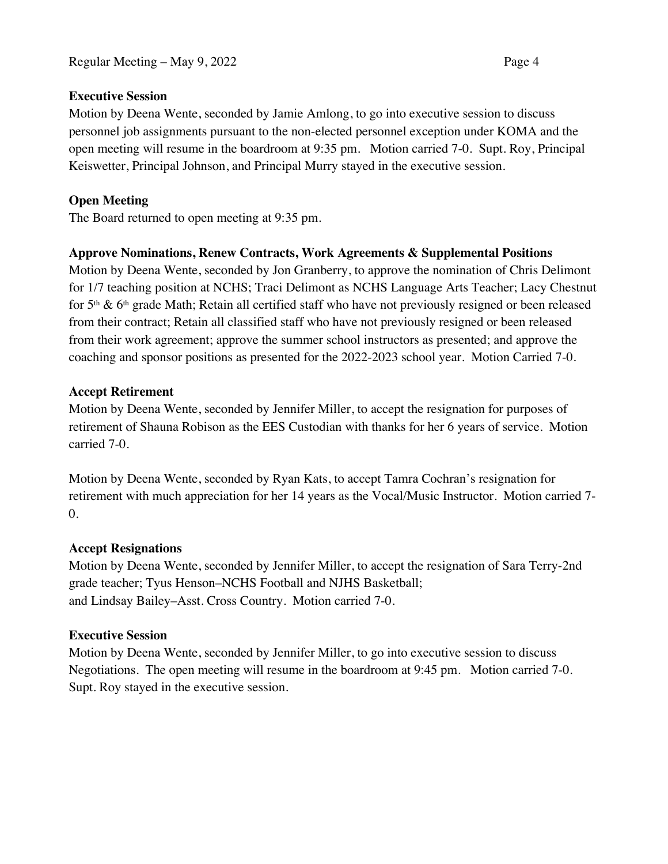Regular Meeting – May 9, 2022 Page 4

## **Executive Session**

Motion by Deena Wente, seconded by Jamie Amlong, to go into executive session to discuss personnel job assignments pursuant to the non-elected personnel exception under KOMA and the open meeting will resume in the boardroom at 9:35 pm. Motion carried 7-0. Supt. Roy, Principal Keiswetter, Principal Johnson, and Principal Murry stayed in the executive session.

# **Open Meeting**

The Board returned to open meeting at 9:35 pm.

# **Approve Nominations, Renew Contracts, Work Agreements & Supplemental Positions**

Motion by Deena Wente, seconded by Jon Granberry, to approve the nomination of Chris Delimont for 1/7 teaching position at NCHS; Traci Delimont as NCHS Language Arts Teacher; Lacy Chestnut for 5<sup>th</sup> & 6<sup>th</sup> grade Math; Retain all certified staff who have not previously resigned or been released from their contract; Retain all classified staff who have not previously resigned or been released from their work agreement; approve the summer school instructors as presented; and approve the coaching and sponsor positions as presented for the 2022-2023 school year. Motion Carried 7-0.

# **Accept Retirement**

Motion by Deena Wente, seconded by Jennifer Miller, to accept the resignation for purposes of retirement of Shauna Robison as the EES Custodian with thanks for her 6 years of service. Motion carried 7-0.

Motion by Deena Wente, seconded by Ryan Kats, to accept Tamra Cochran's resignation for retirement with much appreciation for her 14 years as the Vocal/Music Instructor. Motion carried 7- 0.

# **Accept Resignations**

Motion by Deena Wente, seconded by Jennifer Miller, to accept the resignation of Sara Terry-2nd grade teacher; Tyus Henson–NCHS Football and NJHS Basketball; and Lindsay Bailey–Asst. Cross Country. Motion carried 7-0.

# **Executive Session**

Motion by Deena Wente, seconded by Jennifer Miller, to go into executive session to discuss Negotiations. The open meeting will resume in the boardroom at 9:45 pm. Motion carried 7-0. Supt. Roy stayed in the executive session.